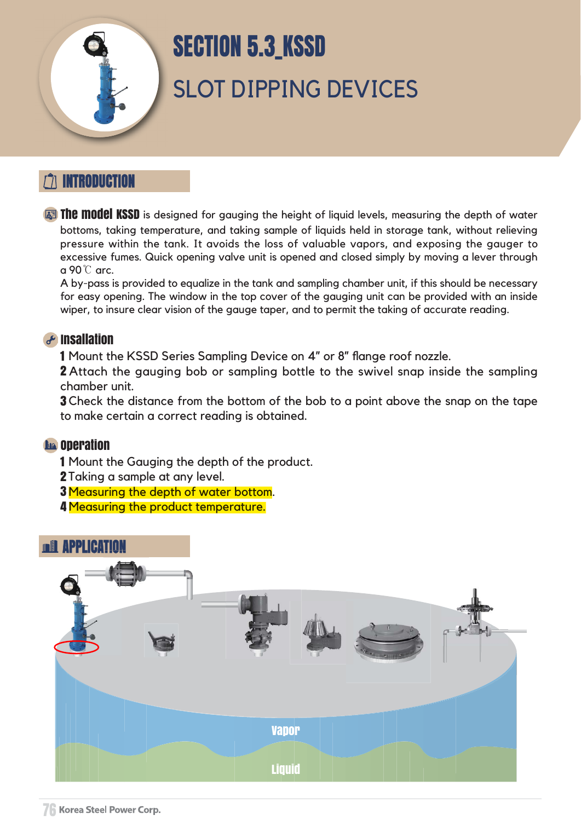## INTRODUCTION





# SLOT DIPPING DEVICES SECTION 5.3\_KSSD

**The model KSSD** is designed for gauging the height of liquid levels, measuring the depth of water bottoms, taking temperature, and taking sample of liquids held in storage tank, without relieving pressure within the tank. It avoids the loss of valuable vapors, and exposing the gauger to excessive fumes. Quick opening valve unit is opened and closed simply by moving a lever through a 90℃ arc.

2 Attach the gauging bob or sampling bottle to the swivel snap inside the sampling chamber unit.

**3** Check the distance from the bottom of the bob to a point above the snap on the tape to make certain a correct reading is obtained.

#### **La operation**

- 2 Taking a sample at any level.
- **3 Measuring the depth of water bottom.**
- **4 Measuring the product temperature.**

A by-pass is provided to equalize in the tank and sampling chamber unit, if this should be necessary for easy opening. The window in the top cover of the gauging unit can be provided with an inside wiper, to insure clear vision of the gauge taper, and to permit the taking of accurate reading.



#### Insallation

1 Mount the KSSD Series Sampling Device on 4" or 8" flange roof nozzle.

1 Mount the Gauging the depth of the product.